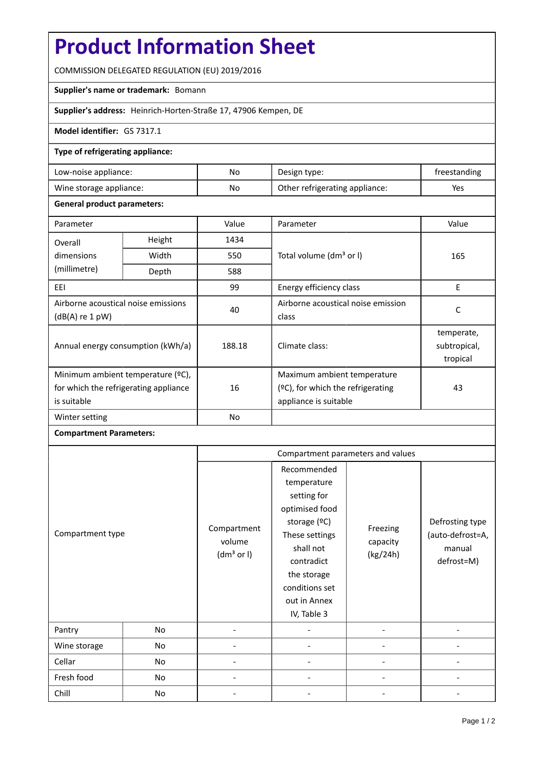# **Product Information Sheet**

COMMISSION DELEGATED REGULATION (EU) 2019/2016

## **Supplier's name or trademark:** Bomann

**Supplier's address:** Heinrich-Horten-Straße 17, 47906 Kempen, DE

#### **Model identifier:** GS 7317.1

### **Type of refrigerating appliance:**

| Low-noise appliance:    | No | Design type:                   | freestanding |
|-------------------------|----|--------------------------------|--------------|
| Wine storage appliance: | No | Other refrigerating appliance: | Yes          |

#### **General product parameters:**

| Parameter                                              |                                                     | Value          | Parameter                            | Value                                  |  |
|--------------------------------------------------------|-----------------------------------------------------|----------------|--------------------------------------|----------------------------------------|--|
| Overall                                                | Height                                              | 1434           |                                      |                                        |  |
| dimensions                                             | Width<br>Total volume (dm <sup>3</sup> or I)<br>550 |                |                                      | 165                                    |  |
| (millimetre)                                           | Depth                                               | 588            |                                      |                                        |  |
| EEI                                                    |                                                     | 99             | Energy efficiency class              | E                                      |  |
| Airborne acoustical noise emissions<br>(dB(A) re 1 pW) |                                                     | 40             | Airborne acoustical noise emission   | C                                      |  |
|                                                        |                                                     |                | class                                |                                        |  |
| Annual energy consumption (kWh/a)                      |                                                     | 188.18         | Climate class:                       | temperate,<br>subtropical,<br>tropical |  |
| Minimum ambient temperature (°C),                      |                                                     |                | Maximum ambient temperature          |                                        |  |
| for which the refrigerating appliance                  |                                                     | 16             | $(°C)$ , for which the refrigerating | 43                                     |  |
| is suitable                                            |                                                     |                | appliance is suitable                |                                        |  |
| Winter setting                                         |                                                     | N <sub>o</sub> |                                      |                                        |  |

# **Compartment Parameters:**

|                  |    | Compartment parameters and values               |                                                                                                                                                                                          |                                  |                                                             |
|------------------|----|-------------------------------------------------|------------------------------------------------------------------------------------------------------------------------------------------------------------------------------------------|----------------------------------|-------------------------------------------------------------|
| Compartment type |    | Compartment<br>volume<br>(dm <sup>3</sup> or I) | Recommended<br>temperature<br>setting for<br>optimised food<br>storage (ºC)<br>These settings<br>shall not<br>contradict<br>the storage<br>conditions set<br>out in Annex<br>IV, Table 3 | Freezing<br>capacity<br>(kg/24h) | Defrosting type<br>(auto-defrost=A,<br>manual<br>defrost=M) |
| Pantry           | No |                                                 |                                                                                                                                                                                          |                                  |                                                             |
| Wine storage     | No |                                                 |                                                                                                                                                                                          |                                  |                                                             |
| Cellar           | No |                                                 |                                                                                                                                                                                          |                                  |                                                             |
| Fresh food       | No |                                                 |                                                                                                                                                                                          |                                  |                                                             |
| Chill            | No |                                                 |                                                                                                                                                                                          |                                  |                                                             |